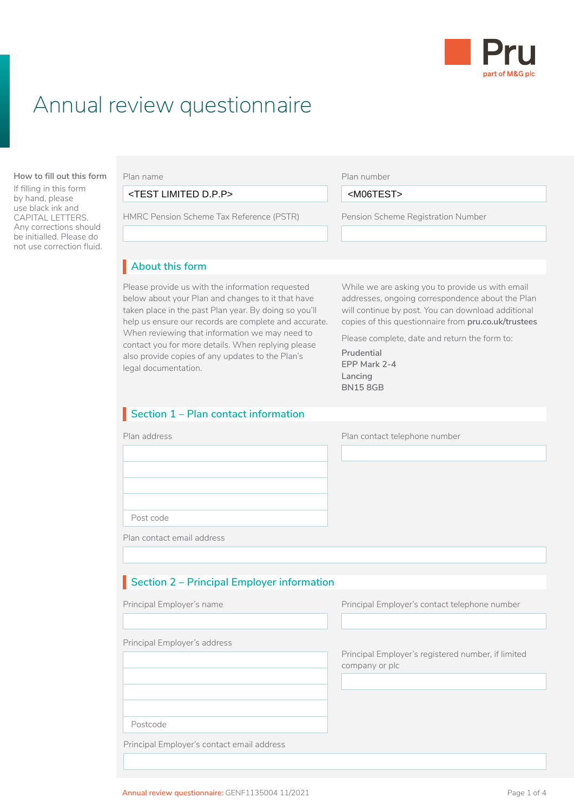

# Annual review questionnaire

#### **About this form How to fill out this form**

If filling in this form by hand, please use black ink and CAPITAL LETTERS. Any corrections should be initialled. Please do not use correction fluid. Plan name

Before you fill in this Local Government Pension <TEST LIMITED D.P.P> <M06TEST>Scheme (LGPS) application, you need to read:

HMRC Pension Scheme Tax Reference (PSTR) Pension Scheme Registration Number

Plan number

 $<$ M06TEST $>$ 

Pension Scheme Registration Number • are already paying AVCs and you've changed  $\overline{L}$ 

## About this form

Please provide us with the information requested While we are asking you to provide us with email below about your Plan and changes to it that have addresses, Please provide us with the information requested taken place in the past Plan year. By doing so you'll help us ensure our records are complete and accurate. When reviewing that information we may need to contact you for more details. When replying please also provide copies of any updates to the Plan's legal documentation.

addresses, ongoing correspondence about the Plan will continue by post. You can download additional copies of this questionnaire from **[pru.co.uk/trustees](https://www.pru.co.uk/trustees)**

Please complete, date and return the form to:

**Prudential EPP Mark 2-4 Lancing BN15 8GB**

## **Section 1 – Plan contact information**

| Plan address | Plan contact telephone number |
|--------------|-------------------------------|
|              |                               |
|              |                               |
|              |                               |
|              |                               |
| Post code    |                               |

Plan contact email address

## **Section 2 – Principal Employer information** I

Principal Employer's name

Principal Employer's address

Principal Employer's contact telephone number  $\Box$ 

Principal Employer's registered number, if limited company or plc

Postcode

Principal Employer's contact email address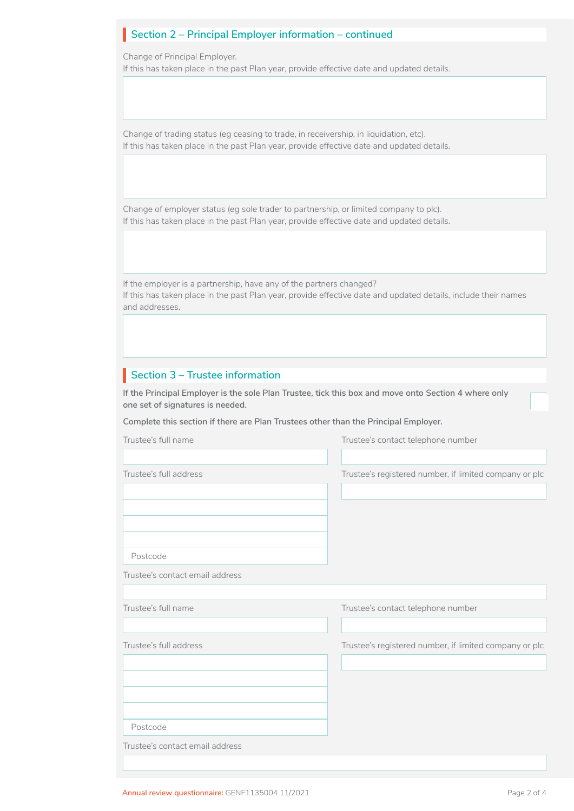## **Section 2 – Principal Employer information – continued** I

Change of Principal Employer.

If this has taken place in the past Plan year, provide effective date and updated details.

Change of trading status (eg ceasing to trade, in receivership, in liquidation, etc). If this has taken place in the past Plan year, provide effective date and updated details.

Change of employer status (eg sole trader to partnership, or limited company to plc). If this has taken place in the past Plan year, provide effective date and updated details.

If the employer is a partnership, have any of the partners changed? If this has taken place in the past Plan year, provide effective date and updated details, include their names and addresses.

## **Section 3 – Trustee information**

**If the Principal Employer is the sole Plan Trustee, tick this box and move onto Section 4 where only one set of signatures is needed.**

**Complete this section if there are Plan Trustees other than the Principal Employer.**

| Trustee's full name             | Trustee's contact telephone number                     |
|---------------------------------|--------------------------------------------------------|
| Trustee's full address          | Trustee's registered number, if limited company or plc |
|                                 |                                                        |
| Postcode                        |                                                        |
| Trustee's contact email address |                                                        |
| Trustee's full name             | Trustee's contact telephone number                     |
| Trustee's full address          | Trustee's registered number, if limited company or plc |
|                                 |                                                        |
| Postcode                        |                                                        |
| Trustee's contact email address |                                                        |
|                                 |                                                        |

 $\Box$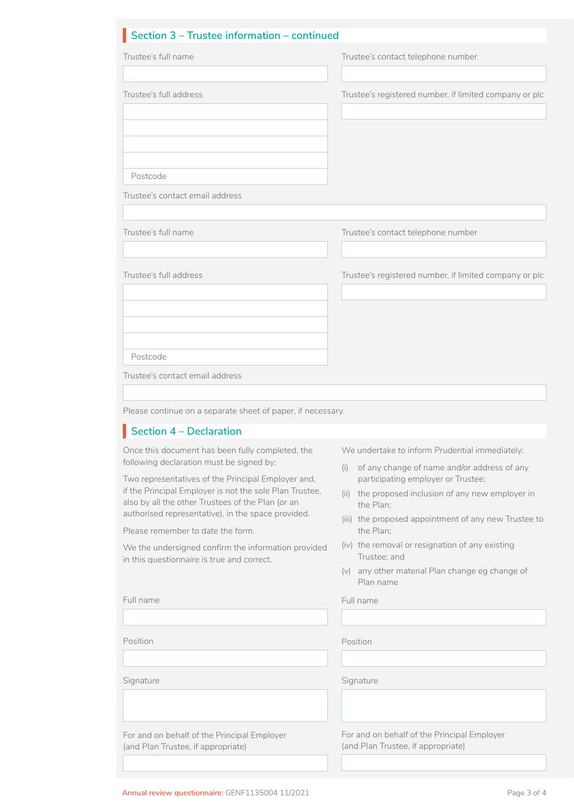#### **Section 3 – Trustee information – continued**

| Trustee's full name                                                                                           | Trustee's contact telephone number                                                                                                             |
|---------------------------------------------------------------------------------------------------------------|------------------------------------------------------------------------------------------------------------------------------------------------|
|                                                                                                               |                                                                                                                                                |
| Trustee's full address                                                                                        | Trustee's registered number, if limited company or plc                                                                                         |
|                                                                                                               |                                                                                                                                                |
| Postcode                                                                                                      |                                                                                                                                                |
| Trustee's contact email address                                                                               |                                                                                                                                                |
| Trustee's full name                                                                                           | Trustee's contact telephone number                                                                                                             |
| Trustee's full address                                                                                        | Trustee's registered number, if limited company or plc                                                                                         |
|                                                                                                               |                                                                                                                                                |
| Postcode                                                                                                      |                                                                                                                                                |
|                                                                                                               |                                                                                                                                                |
| Trustee's contact email address                                                                               |                                                                                                                                                |
|                                                                                                               |                                                                                                                                                |
| Please continue on a separate sheet of paper, if necessary.                                                   |                                                                                                                                                |
| Section $4 -$ Declaration                                                                                     |                                                                                                                                                |
| Once this document has been fully completed, the<br>following declaration must be signed by:                  | We undertake to inform Prudential immediately:                                                                                                 |
| Two representatives of the Principal Employer and,<br>if the Principal Employer is not the sole Plan Trustee, | of any change of name and/or address of any<br>(i)<br>participating employer or Trustee;<br>(ii) the proposed inclusion of any new employer in |
| also by all the other Trustees of the Plan (or an<br>authorised representative), in the space provided.       | the Plan;                                                                                                                                      |
| Please remember to date the form.                                                                             | the Plan:                                                                                                                                      |
| We the undersigned confirm the information provided                                                           | (iv) the removal or resignation of any existing<br>Trustee; and                                                                                |
| in this questionnaire is true and correct.                                                                    | (iii) the proposed appointment of any new Trustee to<br>(v) any other material Plan change eg change of<br>Plan name                           |
| Full name                                                                                                     | Full name                                                                                                                                      |
|                                                                                                               |                                                                                                                                                |
| Position                                                                                                      | Position                                                                                                                                       |
|                                                                                                               |                                                                                                                                                |
| Signature                                                                                                     | Signature                                                                                                                                      |